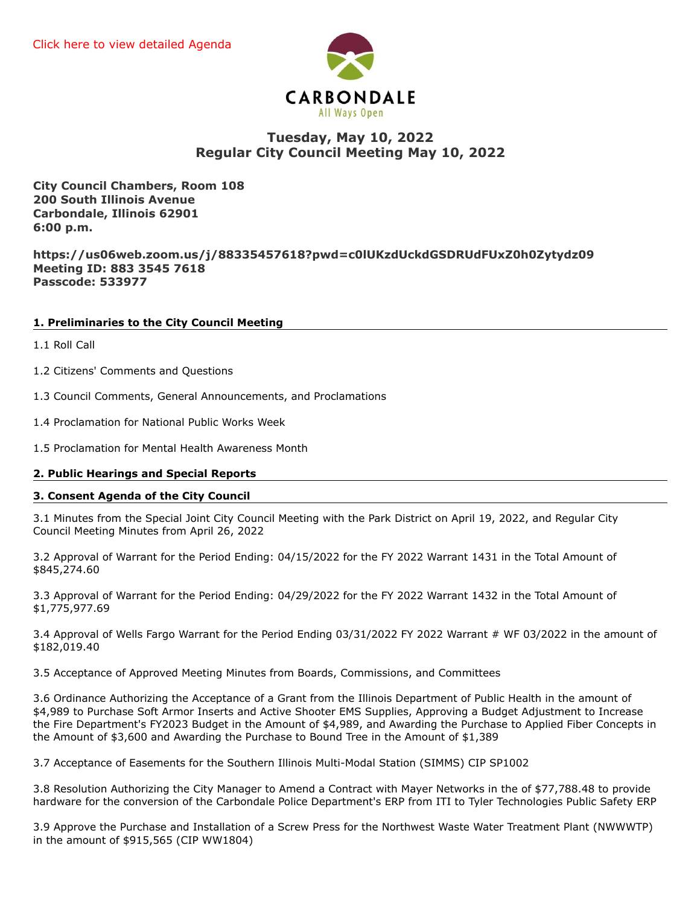

# **Tuesday, May 10, 2022 Regular City Council Meeting May 10, 2022**

**City Council Chambers, Room 108 200 South Illinois Avenue Carbondale, Illinois 62901 6:00 p.m.**

**https://us06web.zoom.us/j/88335457618?pwd=c0lUKzdUckdGSDRUdFUxZ0h0Zytydz09 Meeting ID: 883 3545 7618 Passcode: 533977**

# **1. Preliminaries to the City Council Meeting**

- 1.1 Roll Call
- 1.2 Citizens' Comments and Questions
- 1.3 Council Comments, General Announcements, and Proclamations
- 1.4 Proclamation for National Public Works Week
- 1.5 Proclamation for Mental Health Awareness Month

# **2. Public Hearings and Special Reports**

## **3. Consent Agenda of the City Council**

3.1 Minutes from the Special Joint City Council Meeting with the Park District on April 19, 2022, and Regular City Council Meeting Minutes from April 26, 2022

3.2 Approval of Warrant for the Period Ending: 04/15/2022 for the FY 2022 Warrant 1431 in the Total Amount of \$845,274.60

3.3 Approval of Warrant for the Period Ending: 04/29/2022 for the FY 2022 Warrant 1432 in the Total Amount of \$1,775,977.69

3.4 Approval of Wells Fargo Warrant for the Period Ending 03/31/2022 FY 2022 Warrant # WF 03/2022 in the amount of \$182,019.40

3.5 Acceptance of Approved Meeting Minutes from Boards, Commissions, and Committees

3.6 Ordinance Authorizing the Acceptance of a Grant from the Illinois Department of Public Health in the amount of \$4,989 to Purchase Soft Armor Inserts and Active Shooter EMS Supplies, Approving a Budget Adjustment to Increase the Fire Department's FY2023 Budget in the Amount of \$4,989, and Awarding the Purchase to Applied Fiber Concepts in the Amount of \$3,600 and Awarding the Purchase to Bound Tree in the Amount of \$1,389

3.7 Acceptance of Easements for the Southern Illinois Multi-Modal Station (SIMMS) CIP SP1002

3.8 Resolution Authorizing the City Manager to Amend a Contract with Mayer Networks in the of \$77,788.48 to provide hardware for the conversion of the Carbondale Police Department's ERP from ITI to Tyler Technologies Public Safety ERP

3.9 Approve the Purchase and Installation of a Screw Press for the Northwest Waste Water Treatment Plant (NWWWTP) in the amount of \$915,565 (CIP WW1804)